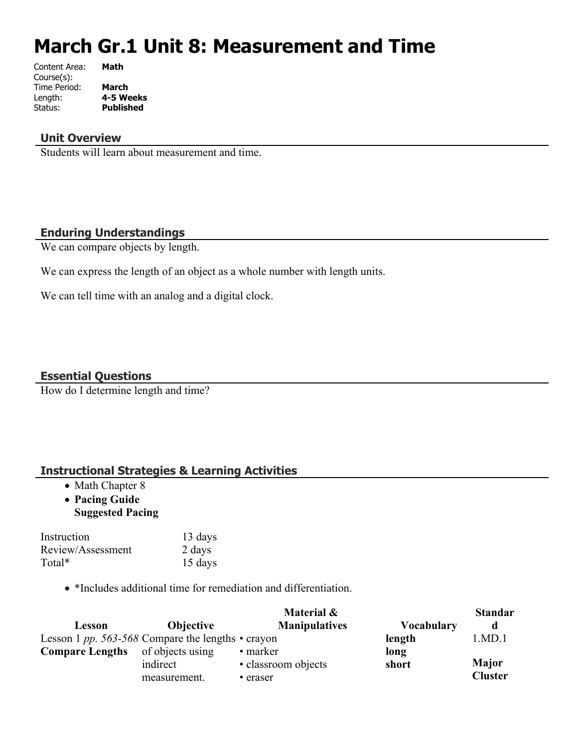# **March Gr.1 Unit 8: Measurement and Time**

| Content Area: | Math             |
|---------------|------------------|
| Course(s):    |                  |
| Time Period:  | <b>March</b>     |
| Length:       | 4-5 Weeks        |
| Status:       | <b>Published</b> |
|               |                  |

#### **Unit Overview**

Students will learn about measurement and time.

#### **Enduring Understandings**

We can compare objects by length.

We can express the length of an object as a whole number with length units.

We can tell time with an analog and a digital clock.

### **Essential Questions**

How do I determine length and time?

#### **Instructional Strategies & Learning Activities**

- Math Chapter 8
- **Pacing Guide Suggested Pacing**

| Instruction       | 13 days |
|-------------------|---------|
| Review/Assessment | 2 days  |
| Total*            | 15 days |

• \*Includes additional time for remediation and differentiation.

|                                                         |                  | Material &           |                   | <b>Standar</b> |
|---------------------------------------------------------|------------------|----------------------|-------------------|----------------|
| Lesson                                                  | <b>Objective</b> | <b>Manipulatives</b> | <b>Vocabulary</b> | d              |
| Lesson 1 pp. 563-568 Compare the lengths $\cdot$ crayon |                  |                      | length            | 1.MD.1         |
| <b>Compare Lengths</b>                                  | of objects using | • marker             | long              |                |
|                                                         | indirect         | • classroom objects  | short             | <b>Major</b>   |
|                                                         | measurement.     | • eraser             |                   | <b>Cluster</b> |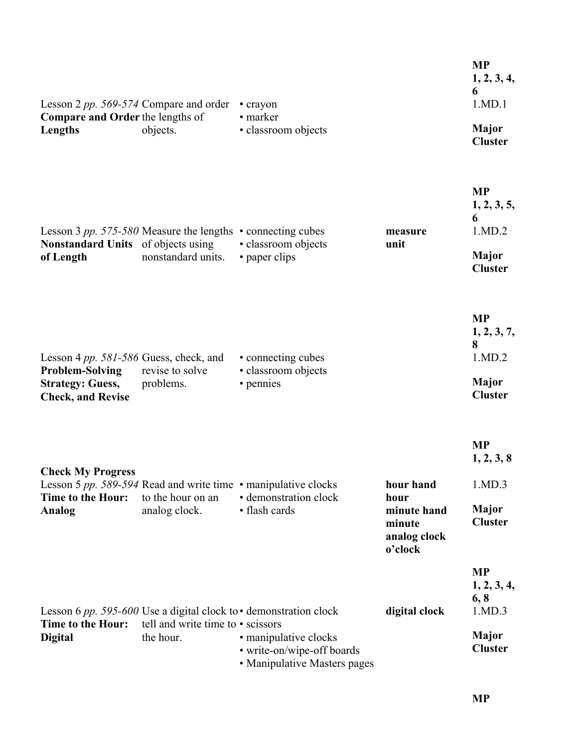| Lesson 2 pp. 569-574 Compare and order<br><b>Compare and Order the lengths of</b><br>Lengths                                   | objects.                                       | • crayon<br>• marker<br>· classroom objects                                                                                                                    |                                                                       | <b>MP</b><br>1, 2, 3, 4,<br>6<br>1.MD.1<br><b>Major</b><br><b>Cluster</b>    |
|--------------------------------------------------------------------------------------------------------------------------------|------------------------------------------------|----------------------------------------------------------------------------------------------------------------------------------------------------------------|-----------------------------------------------------------------------|------------------------------------------------------------------------------|
| Lesson 3 pp. 575-580 Measure the lengths $\cdot$ connecting cubes<br><b>Nonstandard Units</b> of objects using<br>of Length    | nonstandard units.                             | · classroom objects<br>• paper clips                                                                                                                           | measure<br>unit                                                       | <b>MP</b><br>1, 2, 3, 5,<br>6<br>1.MD.2<br><b>Major</b><br><b>Cluster</b>    |
| Lesson 4 <i>pp.</i> 581-586 Guess, check, and<br><b>Problem-Solving</b><br><b>Strategy: Guess,</b><br><b>Check, and Revise</b> | revise to solve<br>problems.                   | • connecting cubes<br>· classroom objects<br>• pennies                                                                                                         |                                                                       | <b>MP</b><br>1, 2, 3, 7,<br>8<br>1.MD.2<br>Major<br><b>Cluster</b>           |
| <b>Check My Progress</b><br>Time to the Hour:<br><b>Analog</b>                                                                 | to the hour on an<br>analog clock.             | Lesson 5 pp. 589-594 Read and write time $\cdot$ manipulative clocks<br>• demonstration clock<br>• flash cards                                                 | hour hand<br>hour<br>minute hand<br>minute<br>analog clock<br>o'clock | <b>MP</b><br>1, 2, 3, 8<br>1.MD.3<br><b>Major</b><br><b>Cluster</b>          |
| Time to the Hour:<br><b>Digital</b>                                                                                            | tell and write time to • scissors<br>the hour. | Lesson 6 pp. 595-600 Use a digital clock to $\cdot$ demonstration clock<br>• manipulative clocks<br>• write-on/wipe-off boards<br>• Manipulative Masters pages | digital clock                                                         | <b>MP</b><br>1, 2, 3, 4,<br>6, 8<br>1.MD.3<br><b>Major</b><br><b>Cluster</b> |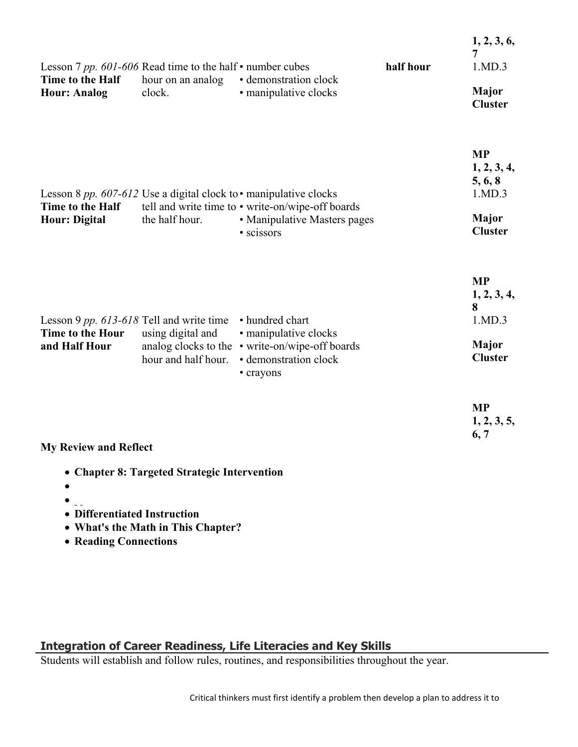| Lesson 7 pp. 601-606 Read time to the half $\cdot$ number cubes<br>Time to the Half<br><b>Hour: Analog</b> | hour on an analog<br>clock.              | • demonstration clock<br>• manipulative clocks                                                                                                                             | half hour | 1, 2, 3, 6,<br>7<br>1.MD.3<br><b>Major</b><br><b>Cluster</b>                    |
|------------------------------------------------------------------------------------------------------------|------------------------------------------|----------------------------------------------------------------------------------------------------------------------------------------------------------------------------|-----------|---------------------------------------------------------------------------------|
| Time to the Half<br><b>Hour: Digital</b>                                                                   | the half hour.                           | Lesson 8 pp. 607-612 Use a digital clock to $\cdot$ manipulative clocks<br>tell and write time to • write-on/wipe-off boards<br>• Manipulative Masters pages<br>· scissors |           | <b>MP</b><br>1, 2, 3, 4,<br>5, 6, 8<br>1.MD.3<br><b>Major</b><br><b>Cluster</b> |
| Lesson 9 pp. 613-618 Tell and write time<br>Time to the Hour<br>and Half Hour                              | using digital and<br>hour and half hour. | • hundred chart<br>• manipulative clocks<br>analog clocks to the • write-on/wipe-off boards<br>• demonstration clock<br>• crayons                                          |           | <b>MP</b><br>1, 2, 3, 4,<br>8<br>1.MD.3<br><b>Major</b><br><b>Cluster</b>       |
| <b>My Review and Reflect</b>                                                                               |                                          |                                                                                                                                                                            |           | <b>MP</b><br>1, 2, 3, 5,<br>6, 7                                                |

- **Chapter 8: Targeted Strategic Intervention**
- $\bullet$
- $\bullet$   $\overline{\phantom{a}}$
- **Differentiated Instruction**
- **What's the Math in This Chapter?**
- **Reading Connections**

# **Integration of Career Readiness, Life Literacies and Key Skills**

Students will establish and follow rules, routines, and responsibilities throughout the year.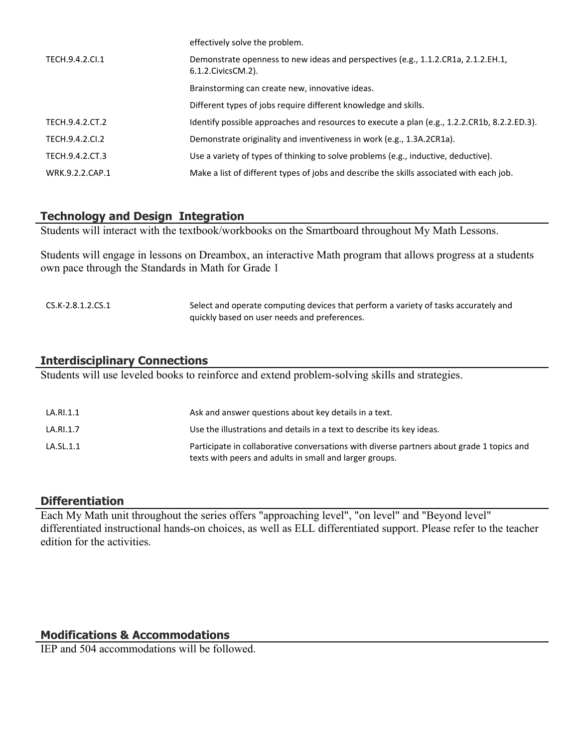|                 | effectively solve the problem.                                                                             |
|-----------------|------------------------------------------------------------------------------------------------------------|
| TECH.9.4.2.Cl.1 | Demonstrate openness to new ideas and perspectives (e.g., 1.1.2.CR1a, 2.1.2.EH.1,<br>6.1.2. Civics CM. 2). |
|                 | Brainstorming can create new, innovative ideas.                                                            |
|                 | Different types of jobs require different knowledge and skills.                                            |
| TECH.9.4.2.CT.2 | Identify possible approaches and resources to execute a plan (e.g., 1.2.2.CR1b, 8.2.2.ED.3).               |
| TECH.9.4.2.Cl.2 | Demonstrate originality and inventiveness in work (e.g., 1.3A.2CR1a).                                      |
| TECH.9.4.2.CT.3 | Use a variety of types of thinking to solve problems (e.g., inductive, deductive).                         |
| WRK.9.2.2.CAP.1 | Make a list of different types of jobs and describe the skills associated with each job.                   |
|                 |                                                                                                            |

#### **Technology and Design Integration**

Students will interact with the textbook/workbooks on the Smartboard throughout My Math Lessons.

Students will engage in lessons on Dreambox, an interactive Math program that allows progress at a students own pace through the Standards in Math for Grade 1

| CS.K-2.8.1.2.CS.1 | Select and operate computing devices that perform a variety of tasks accurately and |
|-------------------|-------------------------------------------------------------------------------------|
|                   | quickly based on user needs and preferences.                                        |

#### **Interdisciplinary Connections**

Students will use leveled books to reinforce and extend problem-solving skills and strategies.

| LA.RI.1.1 | Ask and answer questions about key details in a text.                                                                                                |
|-----------|------------------------------------------------------------------------------------------------------------------------------------------------------|
| LA.RI.1.7 | Use the illustrations and details in a text to describe its key ideas.                                                                               |
| LA.SL.1.1 | Participate in collaborative conversations with diverse partners about grade 1 topics and<br>texts with peers and adults in small and larger groups. |

#### **Differentiation**

Each My Math unit throughout the series offers "approaching level", "on level" and "Beyond level" differentiated instructional hands-on choices, as well as ELL differentiated support. Please refer to the teacher edition for the activities.

#### **Modifications & Accommodations**

IEP and 504 accommodations will be followed.